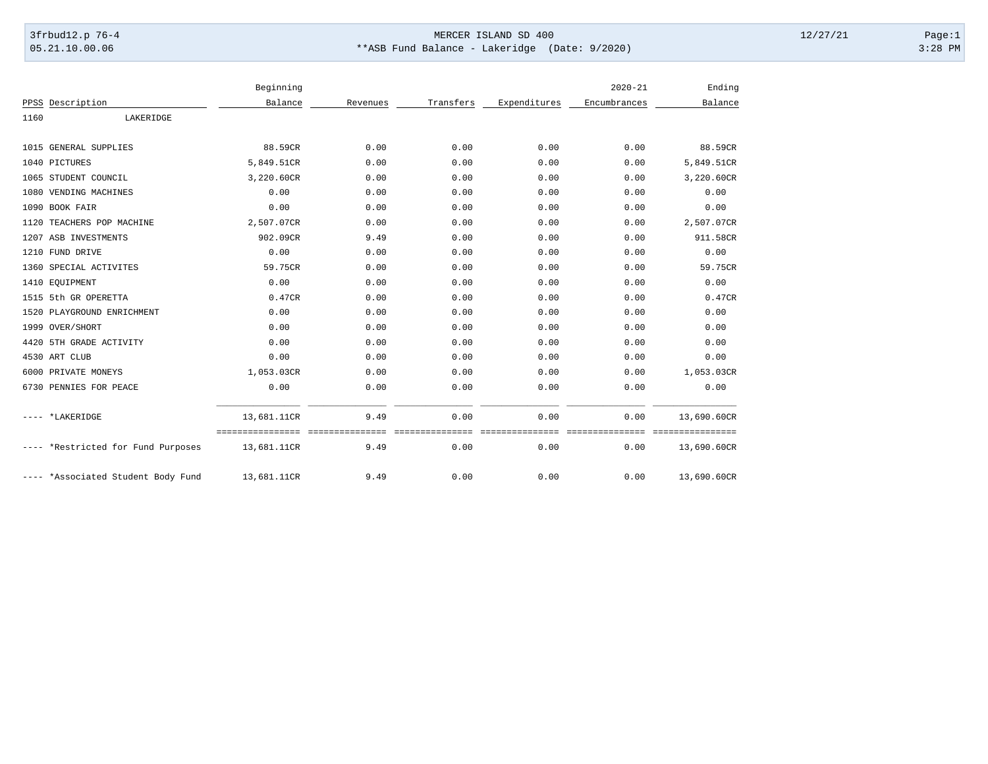## 3frbud12.p 76-4 Page:1 05.21.10.00.06 \*\*ASB Fund Balance - Lakeridge (Date: 9/2020) 3:28 PM

|                                    | Beginning                                    |          |           |              | $2020 - 21$         | Ending                      |
|------------------------------------|----------------------------------------------|----------|-----------|--------------|---------------------|-----------------------------|
| Description<br>PPSS                | Balance                                      | Revenues | Transfers | Expenditures | Encumbrances        | Balance                     |
| 1160<br>LAKERIDGE                  |                                              |          |           |              |                     |                             |
|                                    |                                              |          |           |              |                     |                             |
| GENERAL SUPPLIES<br>1015           | 88.59CR                                      | 0.00     | 0.00      | 0.00         | 0.00                | 88.59CR                     |
| 1040 PICTURES                      | 5,849.51CR                                   | 0.00     | 0.00      | 0.00         | 0.00                | 5,849.51CR                  |
| 1065 STUDENT COUNCIL               | 3,220.60CR                                   | 0.00     | 0.00      | 0.00         | 0.00                | 3,220.60CR                  |
| 1080 VENDING MACHINES              | 0.00                                         | 0.00     | 0.00      | 0.00         | 0.00                | 0.00                        |
| <b>BOOK FAIR</b><br>1090           | 0.00                                         | 0.00     | 0.00      | 0.00         | 0.00                | 0.00                        |
| TEACHERS POP MACHINE<br>1120       | 2,507.07CR                                   | 0.00     | 0.00      | 0.00         | 0.00                | 2,507.07CR                  |
| 1207 ASB INVESTMENTS               | 902.09CR                                     | 9.49     | 0.00      | 0.00         | 0.00                | 911.58CR                    |
| 1210 FUND DRIVE                    | 0.00                                         | 0.00     | 0.00      | 0.00         | 0.00                | 0.00                        |
| 1360 SPECIAL ACTIVITES             | 59.75CR                                      | 0.00     | 0.00      | 0.00         | 0.00                | 59.75CR                     |
| 1410 EQUIPMENT                     | 0.00                                         | 0.00     | 0.00      | 0.00         | 0.00                | 0.00                        |
| 1515 5th GR OPERETTA               | 0.47CR                                       | 0.00     | 0.00      | 0.00         | 0.00                | 0.47CR                      |
| 1520 PLAYGROUND ENRICHMENT         | 0.00                                         | 0.00     | 0.00      | 0.00         | 0.00                | 0.00                        |
| 1999<br>OVER/SHORT                 | 0.00                                         | 0.00     | 0.00      | 0.00         | 0.00                | 0.00                        |
| 4420 5TH GRADE ACTIVITY            | 0.00                                         | 0.00     | 0.00      | 0.00         | 0.00                | 0.00                        |
| 4530 ART CLUB                      | 0.00                                         | 0.00     | 0.00      | 0.00         | 0.00                | 0.00                        |
| 6000 PRIVATE MONEYS                | 1,053.03CR                                   | 0.00     | 0.00      | 0.00         | 0.00                | 1,053.03CR                  |
| 6730 PENNIES FOR PEACE             | 0.00                                         | 0.00     | 0.00      | 0.00         | 0.00                | 0.00                        |
| *LAKERIDGE                         | 13,681.11CR                                  | 9.49     | 0.00      | 0.00         | 0.00                | 13,690.60CR                 |
| ---- *Restricted for Fund Purposes | =============================<br>13,681.11CR | 9.49     | 0.00      | 0.00         | -----------<br>0.00 | ============<br>13,690.60CR |
| *Associated Student Body Fund      | 13,681.11CR                                  | 9.49     | 0.00      | 0.00         | 0.00                | 13,690.60CR                 |